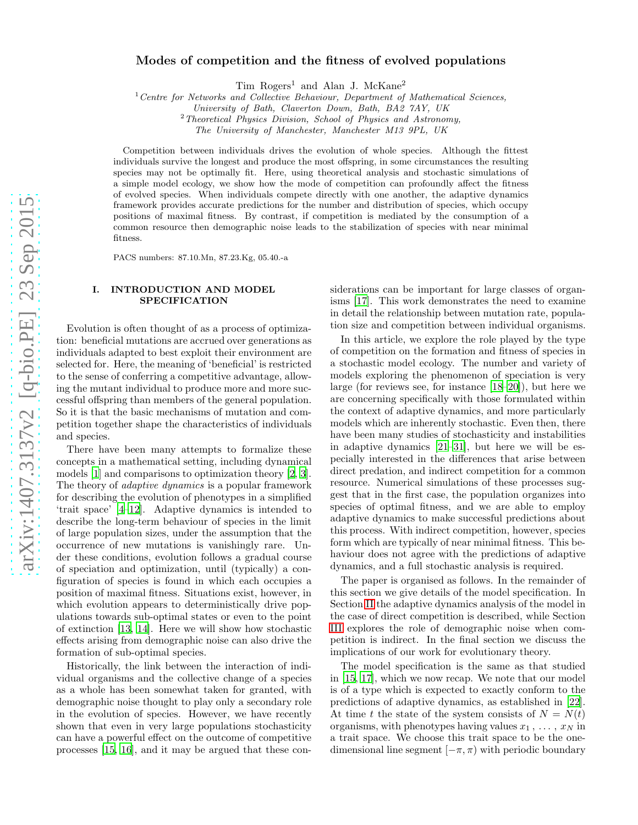# Modes of competition and the fitness of evolved populations

Tim Rogers<sup>1</sup> and Alan J. McKane<sup>2</sup>

 $1$ <sup>1</sup> Centre for Networks and Collective Behaviour, Department of Mathematical Sciences,

University of Bath, Claverton Down, Bath, BA2 7AY, UK

 $2$  Theoretical Physics Division, School of Physics and Astronomy,

The University of Manchester, Manchester M13 9PL, UK

Competition between individuals drives the evolution of whole species. Although the fittest individuals survive the longest and produce the most offspring, in some circumstances the resulting species may not be optimally fit. Here, using theoretical analysis and stochastic simulations of a simple model ecology, we show how the mode of competition can profoundly affect the fitness of evolved species. When individuals compete directly with one another, the adaptive dynamics framework provides accurate predictions for the number and distribution of species, which occupy positions of maximal fitness. By contrast, if competition is mediated by the consumption of a common resource then demographic noise leads to the stabilization of species with near minimal fitness.

PACS numbers: 87.10.Mn, 87.23.Kg, 05.40.-a

## I. INTRODUCTION AND MODEL SPECIFICATION

Evolution is often thought of as a process of optimization: beneficial mutations are accrued over generations as individuals adapted to best exploit their environment are selected for. Here, the meaning of 'beneficial' is restricted to the sense of conferring a competitive advantage, allowing the mutant individual to produce more and more successful offspring than members of the general population. So it is that the basic mechanisms of mutation and competition together shape the characteristics of individuals and species.

There have been many attempts to formalize these concepts in a mathematical setting, including dynamical models [\[1\]](#page-9-0) and comparisons to optimization theory [\[2,](#page-9-1) [3\]](#page-9-2). The theory of *adaptive dynamics* is a popular framework for describing the evolution of phenotypes in a simplified 'trait space' [\[4](#page-9-3)[–12](#page-9-4)]. Adaptive dynamics is intended to describe the long-term behaviour of species in the limit of large population sizes, under the assumption that the occurrence of new mutations is vanishingly rare. Under these conditions, evolution follows a gradual course of speciation and optimization, until (typically) a configuration of species is found in which each occupies a position of maximal fitness. Situations exist, however, in which evolution appears to deterministically drive populations towards sub-optimal states or even to the point of extinction [\[13,](#page-9-5) [14\]](#page-9-6). Here we will show how stochastic effects arising from demographic noise can also drive the formation of sub-optimal species.

Historically, the link between the interaction of individual organisms and the collective change of a species as a whole has been somewhat taken for granted, with demographic noise thought to play only a secondary role in the evolution of species. However, we have recently shown that even in very large populations stochasticity can have a powerful effect on the outcome of competitive processes [\[15](#page-9-7), [16](#page-9-8)], and it may be argued that these considerations can be important for large classes of organisms [\[17](#page-9-9)]. This work demonstrates the need to examine in detail the relationship between mutation rate, population size and competition between individual organisms.

In this article, we explore the role played by the type of competition on the formation and fitness of species in a stochastic model ecology. The number and variety of models exploring the phenomenon of speciation is very large (for reviews see, for instance [\[18](#page-10-0)[–20\]](#page-10-1)), but here we are concerning specifically with those formulated within the context of adaptive dynamics, and more particularly models which are inherently stochastic. Even then, there have been many studies of stochasticity and instabilities in adaptive dynamics [\[21](#page-10-2)[–31](#page-10-3)], but here we will be especially interested in the differences that arise between direct predation, and indirect competition for a common resource. Numerical simulations of these processes suggest that in the first case, the population organizes into species of optimal fitness, and we are able to employ adaptive dynamics to make successful predictions about this process. With indirect competition, however, species form which are typically of near minimal fitness. This behaviour does not agree with the predictions of adaptive dynamics, and a full stochastic analysis is required.

The paper is organised as follows. In the remainder of this section we give details of the model specification. In Section [II](#page-1-0) the adaptive dynamics analysis of the model in the case of direct competition is described, while Section [III](#page-3-0) explores the role of demographic noise when competition is indirect. In the final section we discuss the implications of our work for evolutionary theory.

The model specification is the same as that studied in [\[15](#page-9-7), [17\]](#page-9-9), which we now recap. We note that our model is of a type which is expected to exactly conform to the predictions of adaptive dynamics, as established in [\[22\]](#page-10-4). At time t the state of the system consists of  $N = N(t)$ organisms, with phenotypes having values  $x_1, \ldots, x_N$  in a trait space. We choose this trait space to be the onedimensional line segment  $[-\pi, \pi)$  with periodic boundary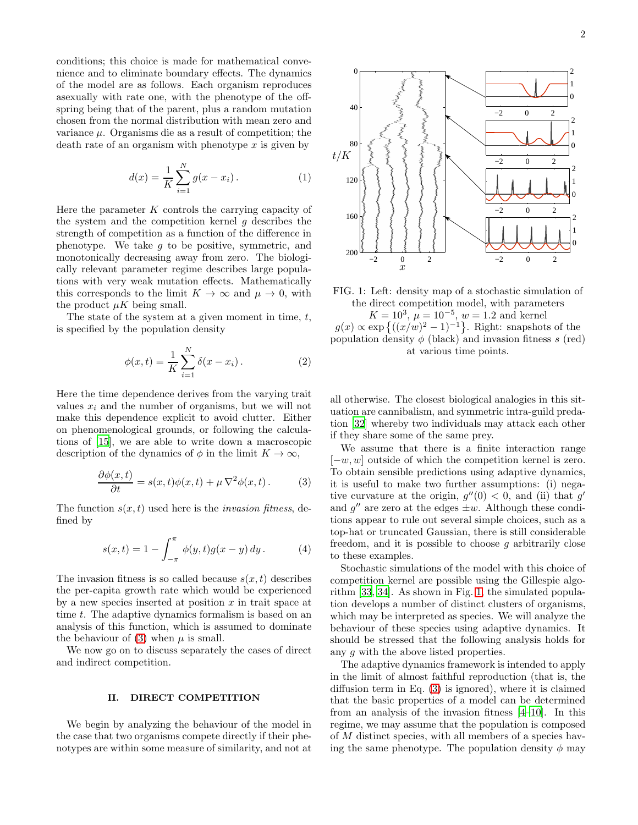conditions; this choice is made for mathematical convenience and to eliminate boundary effects. The dynamics of the model are as follows. Each organism reproduces asexually with rate one, with the phenotype of the offspring being that of the parent, plus a random mutation chosen from the normal distribution with mean zero and variance  $\mu$ . Organisms die as a result of competition; the death rate of an organism with phenotype  $x$  is given by

$$
d(x) = \frac{1}{K} \sum_{i=1}^{N} g(x - x_i).
$$
 (1)

Here the parameter  $K$  controls the carrying capacity of the system and the competition kernel  $g$  describes the strength of competition as a function of the difference in phenotype. We take  $g$  to be positive, symmetric, and monotonically decreasing away from zero. The biologically relevant parameter regime describes large populations with very weak mutation effects. Mathematically this corresponds to the limit  $K \to \infty$  and  $\mu \to 0$ , with the product  $\mu K$  being small.

The state of the system at a given moment in time,  $t$ , is specified by the population density

<span id="page-1-4"></span>
$$
\phi(x,t) = \frac{1}{K} \sum_{i=1}^{N} \delta(x - x_i).
$$
 (2)

Here the time dependence derives from the varying trait values  $x_i$  and the number of organisms, but we will not make this dependence explicit to avoid clutter. Either on phenomenological grounds, or following the calculations of [\[15\]](#page-9-7), we are able to write down a macroscopic description of the dynamics of  $\phi$  in the limit  $K \to \infty$ ,

<span id="page-1-1"></span>
$$
\frac{\partial \phi(x,t)}{\partial t} = s(x,t)\phi(x,t) + \mu \nabla^2 \phi(x,t).
$$
 (3)

The function  $s(x, t)$  used here is the *invasion fitness*, defined by

<span id="page-1-3"></span>
$$
s(x,t) = 1 - \int_{-\pi}^{\pi} \phi(y,t)g(x-y) \, dy. \tag{4}
$$

The invasion fitness is so called because  $s(x, t)$  describes the per-capita growth rate which would be experienced by a new species inserted at position  $x$  in trait space at time t. The adaptive dynamics formalism is based on an analysis of this function, which is assumed to dominate the behaviour of [\(3\)](#page-1-1) when  $\mu$  is small.

We now go on to discuss separately the cases of direct and indirect competition.

### <span id="page-1-0"></span>II. DIRECT COMPETITION

We begin by analyzing the behaviour of the model in the case that two organisms compete directly if their phenotypes are within some measure of similarity, and not at

<span id="page-1-2"></span>

FIG. 1: Left: density map of a stochastic simulation of the direct competition model, with parameters  $K = 10^3$ ,  $\mu = 10^{-5}$ ,  $w = 1.2$  and kernel  $g(x) \propto \exp\left\{((x/w)^2 - 1)^{-1}\right\}$ . Right: snapshots of the population density  $\phi$  (black) and invasion fitness s (red) at various time points.

all otherwise. The closest biological analogies in this situation are cannibalism, and symmetric intra-guild predation [\[32](#page-10-5)] whereby two individuals may attack each other if they share some of the same prey.

We assume that there is a finite interaction range  $[-w, w]$  outside of which the competition kernel is zero. To obtain sensible predictions using adaptive dynamics, it is useful to make two further assumptions: (i) negative curvature at the origin,  $g''(0) < 0$ , and (ii) that g' and  $g''$  are zero at the edges  $\pm w$ . Although these conditions appear to rule out several simple choices, such as a top-hat or truncated Gaussian, there is still considerable freedom, and it is possible to choose  $g$  arbitrarily close to these examples.

Stochastic simulations of the model with this choice of competition kernel are possible using the Gillespie algorithm [\[33,](#page-10-6) [34\]](#page-10-7). As shown in Fig. [1,](#page-1-2) the simulated population develops a number of distinct clusters of organisms, which may be interpreted as species. We will analyze the behaviour of these species using adaptive dynamics. It should be stressed that the following analysis holds for any g with the above listed properties.

The adaptive dynamics framework is intended to apply in the limit of almost faithful reproduction (that is, the diffusion term in Eq. [\(3\)](#page-1-1) is ignored), where it is claimed that the basic properties of a model can be determined from an analysis of the invasion fitness [\[4](#page-9-3)[–10](#page-9-10)]. In this regime, we may assume that the population is composed of M distinct species, with all members of a species having the same phenotype. The population density  $\phi$  may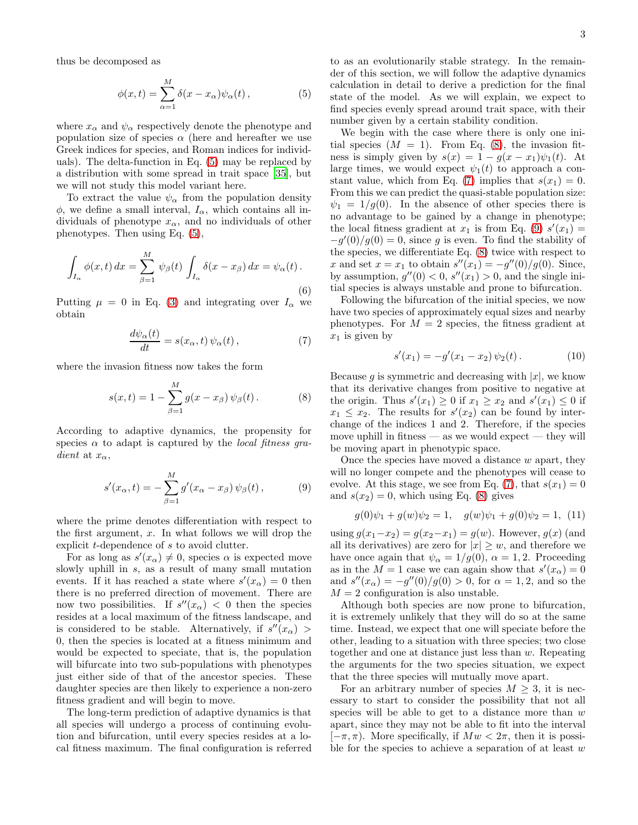thus be decomposed as

<span id="page-2-0"></span>
$$
\phi(x,t) = \sum_{\alpha=1}^{M} \delta(x - x_{\alpha}) \psi_{\alpha}(t), \qquad (5)
$$

where  $x_{\alpha}$  and  $\psi_{\alpha}$  respectively denote the phenotype and population size of species  $\alpha$  (here and hereafter we use Greek indices for species, and Roman indices for individuals). The delta-function in Eq. [\(5\)](#page-2-0) may be replaced by a distribution with some spread in trait space [\[35\]](#page-10-8), but we will not study this model variant here.

To extract the value  $\psi_{\alpha}$  from the population density  $\phi$ , we define a small interval,  $I_{\alpha}$ , which contains all individuals of phenotype  $x_{\alpha}$ , and no individuals of other phenotypes. Then using Eq. [\(5\)](#page-2-0),

$$
\int_{I_{\alpha}} \phi(x, t) dx = \sum_{\beta=1}^{M} \psi_{\beta}(t) \int_{I_{\alpha}} \delta(x - x_{\beta}) dx = \psi_{\alpha}(t).
$$
\n(6)

Putting  $\mu = 0$  in Eq. [\(3\)](#page-1-1) and integrating over  $I_{\alpha}$  we obtain

<span id="page-2-2"></span>
$$
\frac{d\psi_{\alpha}(t)}{dt} = s(x_{\alpha}, t) \psi_{\alpha}(t), \qquad (7)
$$

where the invasion fitness now takes the form

<span id="page-2-1"></span>
$$
s(x,t) = 1 - \sum_{\beta=1}^{M} g(x - x_{\beta}) \psi_{\beta}(t).
$$
 (8)

According to adaptive dynamics, the propensity for species  $\alpha$  to adapt is captured by the *local fitness gra*dient at  $x_{\alpha}$ ,

<span id="page-2-3"></span>
$$
s'(x_{\alpha},t) = -\sum_{\beta=1}^{M} g'(x_{\alpha} - x_{\beta}) \psi_{\beta}(t), \qquad (9)
$$

where the prime denotes differentiation with respect to the first argument,  $x$ . In what follows we will drop the explicit t-dependence of s to avoid clutter.

For as long as  $s'(x_\alpha) \neq 0$ , species  $\alpha$  is expected move slowly uphill in s, as a result of many small mutation events. If it has reached a state where  $s'(x_\alpha) = 0$  then there is no preferred direction of movement. There are now two possibilities. If  $s''(x_\alpha) < 0$  then the species resides at a local maximum of the fitness landscape, and is considered to be stable. Alternatively, if  $s''(x_{\alpha})$  > 0, then the species is located at a fitness minimum and would be expected to speciate, that is, the population will bifurcate into two sub-populations with phenotypes just either side of that of the ancestor species. These daughter species are then likely to experience a non-zero fitness gradient and will begin to move.

The long-term prediction of adaptive dynamics is that all species will undergo a process of continuing evolution and bifurcation, until every species resides at a local fitness maximum. The final configuration is referred to as an evolutionarily stable strategy. In the remainder of this section, we will follow the adaptive dynamics calculation in detail to derive a prediction for the final state of the model. As we will explain, we expect to find species evenly spread around trait space, with their number given by a certain stability condition.

We begin with the case where there is only one initial species  $(M = 1)$ . From Eq. [\(8\)](#page-2-1), the invasion fitness is simply given by  $s(x) = 1 - g(x - x_1)\psi_1(t)$ . At large times, we would expect  $\psi_1(t)$  to approach a con-stant value, which from Eq. [\(7\)](#page-2-2) implies that  $s(x_1) = 0$ . From this we can predict the quasi-stable population size:  $\psi_1 = 1/g(0)$ . In the absence of other species there is no advantage to be gained by a change in phenotype; the local fitness gradient at  $x_1$  is from Eq. [\(9\)](#page-2-3)  $s'(x_1) =$  $-g'(0)/g(0) = 0$ , since g is even. To find the stability of the species, we differentiate Eq. [\(8\)](#page-2-1) twice with respect to x and set  $x = x_1$  to obtain  $s''(x_1) = -g''(0)/g(0)$ . Since, by assumption,  $g''(0) < 0$ ,  $s''(x_1) > 0$ , and the single initial species is always unstable and prone to bifurcation.

Following the bifurcation of the initial species, we now have two species of approximately equal sizes and nearby phenotypes. For  $M = 2$  species, the fitness gradient at  $x_1$  is given by

$$
s'(x_1) = -g'(x_1 - x_2) \psi_2(t).
$$
 (10)

Because q is symmetric and decreasing with  $|x|$ , we know that its derivative changes from positive to negative at the origin. Thus  $s'(x_1) \geq 0$  if  $x_1 \geq x_2$  and  $s'(x_1) \leq 0$  if  $x_1 \leq x_2$ . The results for  $s'(x_2)$  can be found by interchange of the indices 1 and 2. Therefore, if the species move uphill in fitness — as we would expect — they will be moving apart in phenotypic space.

Once the species have moved a distance  $w$  apart, they will no longer compete and the phenotypes will cease to evolve. At this stage, we see from Eq. [\(7\)](#page-2-2), that  $s(x_1) = 0$ and  $s(x_2) = 0$ , which using Eq. [\(8\)](#page-2-1) gives

$$
g(0)\psi_1 + g(w)\psi_2 = 1, \quad g(w)\psi_1 + g(0)\psi_2 = 1, \tag{11}
$$

using  $g(x_1-x_2) = g(x_2-x_1) = g(w)$ . However,  $g(x)$  (and all its derivatives) are zero for  $|x| \geq w$ , and therefore we have once again that  $\psi_{\alpha} = 1/g(0), \alpha = 1, 2$ . Proceeding as in the  $M = 1$  case we can again show that  $s'(x_\alpha) = 0$ and  $s''(x_\alpha) = -g''(0)/g(0) > 0$ , for  $\alpha = 1, 2$ , and so the  $M = 2$  configuration is also unstable.

Although both species are now prone to bifurcation, it is extremely unlikely that they will do so at the same time. Instead, we expect that one will speciate before the other, leading to a situation with three species; two close together and one at distance just less than w. Repeating the arguments for the two species situation, we expect that the three species will mutually move apart.

For an arbitrary number of species  $M \geq 3$ , it is necessary to start to consider the possibility that not all species will be able to get to a distance more than  $w$ apart, since they may not be able to fit into the interval  $[-\pi, \pi]$ . More specifically, if  $Mw < 2\pi$ , then it is possible for the species to achieve a separation of at least  $w$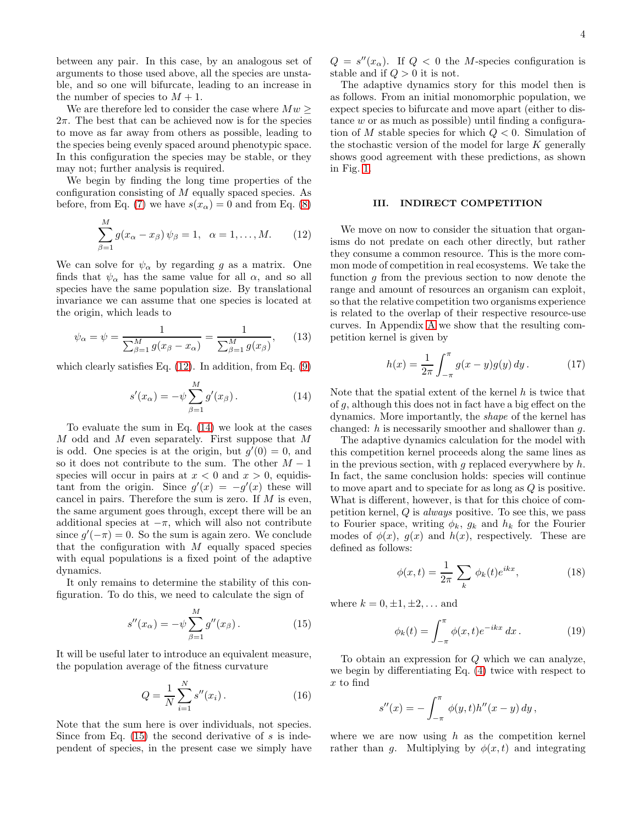between any pair. In this case, by an analogous set of arguments to those used above, all the species are unstable, and so one will bifurcate, leading to an increase in the number of species to  $M + 1$ .

We are therefore led to consider the case where  $Mw \geq$  $2\pi$ . The best that can be achieved now is for the species to move as far away from others as possible, leading to the species being evenly spaced around phenotypic space. In this configuration the species may be stable, or they may not; further analysis is required.

We begin by finding the long time properties of the configuration consisting of  $M$  equally spaced species. As before, from Eq. [\(7\)](#page-2-2) we have  $s(x_\alpha) = 0$  and from Eq. [\(8\)](#page-2-1)

<span id="page-3-1"></span>
$$
\sum_{\beta=1}^{M} g(x_{\alpha} - x_{\beta}) \psi_{\beta} = 1, \quad \alpha = 1, \dots, M. \tag{12}
$$

We can solve for  $\psi_{\alpha}$  by regarding g as a matrix. One finds that  $\psi_{\alpha}$  has the same value for all  $\alpha$ , and so all species have the same population size. By translational invariance we can assume that one species is located at the origin, which leads to

$$
\psi_{\alpha} = \psi = \frac{1}{\sum_{\beta=1}^{M} g(x_{\beta} - x_{\alpha})} = \frac{1}{\sum_{\beta=1}^{M} g(x_{\beta})},
$$
\n(13)

which clearly satisfies Eq. [\(12\)](#page-3-1). In addition, from Eq. [\(9\)](#page-2-3)

<span id="page-3-2"></span>
$$
s'(x_{\alpha}) = -\psi \sum_{\beta=1}^{M} g'(x_{\beta}). \qquad (14)
$$

To evaluate the sum in Eq. [\(14\)](#page-3-2) we look at the cases M odd and M even separately. First suppose that M is odd. One species is at the origin, but  $g'(0) = 0$ , and so it does not contribute to the sum. The other  $M-1$ species will occur in pairs at  $x < 0$  and  $x > 0$ , equidistant from the origin. Since  $g'(x) = -g'(x)$  these will cancel in pairs. Therefore the sum is zero. If  $M$  is even, the same argument goes through, except there will be an additional species at  $-\pi$ , which will also not contribute since  $g'(-\pi) = 0$ . So the sum is again zero. We conclude that the configuration with  $M$  equally spaced species with equal populations is a fixed point of the adaptive dynamics.

It only remains to determine the stability of this configuration. To do this, we need to calculate the sign of

<span id="page-3-3"></span>
$$
s''(x_{\alpha}) = -\psi \sum_{\beta=1}^{M} g''(x_{\beta}).
$$
 (15)

It will be useful later to introduce an equivalent measure, the population average of the fitness curvature

<span id="page-3-7"></span>
$$
Q = \frac{1}{N} \sum_{i=1}^{N} s''(x_i).
$$
 (16)

Note that the sum here is over individuals, not species. Since from Eq.  $(15)$  the second derivative of s is independent of species, in the present case we simply have

 $Q = s''(x_{\alpha})$ . If  $Q < 0$  the M-species configuration is stable and if  $Q > 0$  it is not.

The adaptive dynamics story for this model then is as follows. From an initial monomorphic population, we expect species to bifurcate and move apart (either to distance  $w$  or as much as possible) until finding a configuration of M stable species for which  $Q < 0$ . Simulation of the stochastic version of the model for large  $K$  generally shows good agreement with these predictions, as shown in Fig. [1.](#page-1-2)

#### <span id="page-3-0"></span>III. INDIRECT COMPETITION

We move on now to consider the situation that organisms do not predate on each other directly, but rather they consume a common resource. This is the more common mode of competition in real ecosystems. We take the function  $g$  from the previous section to now denote the range and amount of resources an organism can exploit, so that the relative competition two organisms experience is related to the overlap of their respective resource-use curves. In Appendix [A](#page-7-0) we show that the resulting competition kernel is given by

<span id="page-3-4"></span>
$$
h(x) = \frac{1}{2\pi} \int_{-\pi}^{\pi} g(x - y)g(y) \, dy. \tag{17}
$$

Note that the spatial extent of the kernel  $h$  is twice that of g, although this does not in fact have a big effect on the dynamics. More importantly, the shape of the kernel has changed:  $h$  is necessarily smoother and shallower than  $q$ .

The adaptive dynamics calculation for the model with this competition kernel proceeds along the same lines as in the previous section, with g replaced everywhere by  $h$ . In fact, the same conclusion holds: species will continue to move apart and to speciate for as long as Q is positive. What is different, however, is that for this choice of competition kernel,  $Q$  is *always* positive. To see this, we pass to Fourier space, writing  $\phi_k$ ,  $g_k$  and  $h_k$  for the Fourier modes of  $\phi(x)$ ,  $g(x)$  and  $h(x)$ , respectively. These are defined as follows:

<span id="page-3-6"></span>
$$
\phi(x,t) = \frac{1}{2\pi} \sum_{k} \phi_k(t) e^{ikx}, \qquad (18)
$$

where  $k = 0, \pm 1, \pm 2, ...$  and

<span id="page-3-5"></span>
$$
\phi_k(t) = \int_{-\pi}^{\pi} \phi(x,t) e^{-ikx} dx.
$$
 (19)

To obtain an expression for Q which we can analyze, we begin by differentiating Eq. [\(4\)](#page-1-3) twice with respect to x to find

$$
s''(x) = -\int_{-\pi}^{\pi} \phi(y, t)h''(x - y) \, dy,
$$

where we are now using  $h$  as the competition kernel rather than g. Multiplying by  $\phi(x,t)$  and integrating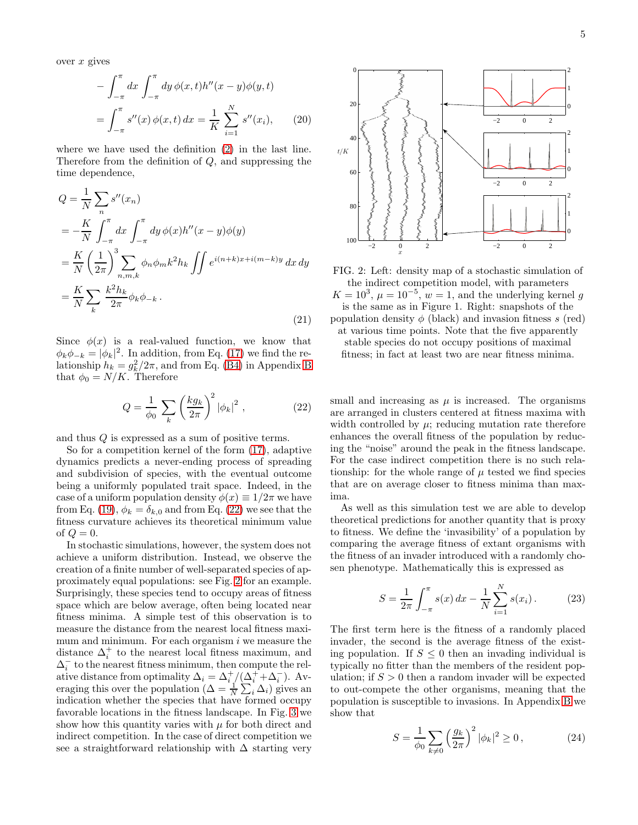over  $x$  gives

$$
-\int_{-\pi}^{\pi} dx \int_{-\pi}^{\pi} dy \, \phi(x, t) h''(x - y) \phi(y, t)
$$

$$
=\int_{-\pi}^{\pi} s''(x) \, \phi(x, t) \, dx = \frac{1}{K} \sum_{i=1}^{N} s''(x_i), \qquad (20)
$$

where we have used the definition [\(2\)](#page-1-4) in the last line. Therefore from the definition of Q, and suppressing the time dependence,

<span id="page-4-4"></span>
$$
Q = \frac{1}{N} \sum_{n} s''(x_n)
$$
  
= 
$$
-\frac{K}{N} \int_{-\pi}^{\pi} dx \int_{-\pi}^{\pi} dy \phi(x) h''(x - y) \phi(y)
$$
  
= 
$$
\frac{K}{N} \left(\frac{1}{2\pi}\right)^{3} \sum_{n,m,k} \phi_n \phi_m k^2 h_k \iint e^{i(n+k)x + i(m-k)y} dx dy
$$
  
= 
$$
\frac{K}{N} \sum_{k} \frac{k^2 h_k}{2\pi} \phi_k \phi_{-k}.
$$
 (21)

Since  $\phi(x)$  is a real-valued function, we know that  $\phi_k \phi_{-k} = |\phi_k|^2$ . In addition, from Eq. [\(17\)](#page-3-4) we find the relationship  $h_k = g_k^2/2\pi$ , and from Eq. [\(B4\)](#page-8-0) in Appendix [B](#page-8-1) that  $\phi_0 = N/K$ . Therefore

<span id="page-4-0"></span>
$$
Q = \frac{1}{\phi_0} \sum_{k} \left(\frac{k g_k}{2\pi}\right)^2 |\phi_k|^2 , \qquad (22)
$$

and thus Q is expressed as a sum of positive terms.

So for a competition kernel of the form [\(17\)](#page-3-4), adaptive dynamics predicts a never-ending process of spreading and subdivision of species, with the eventual outcome being a uniformly populated trait space. Indeed, in the case of a uniform population density  $\phi(x) \equiv 1/2\pi$  we have from Eq. [\(19\)](#page-3-5),  $\phi_k = \delta_{k,0}$  and from Eq. [\(22\)](#page-4-0) we see that the fitness curvature achieves its theoretical minimum value of  $Q = 0$ .

In stochastic simulations, however, the system does not achieve a uniform distribution. Instead, we observe the creation of a finite number of well-separated species of approximately equal populations: see Fig. [2](#page-4-1) for an example. Surprisingly, these species tend to occupy areas of fitness space which are below average, often being located near fitness minima. A simple test of this observation is to measure the distance from the nearest local fitness maximum and minimum. For each organism  $i$  we measure the distance  $\Delta_i^+$  to the nearest local fitness maximum, and  $\Delta_i^-$  to the nearest fitness minimum, then compute the relative distance from optimality  $\Delta_i = \Delta_i^+ / (\Delta_i^+ + \Delta_i^-)$ . Averaging this over the population  $(\Delta = \frac{1}{N} \sum_{i} \Delta_i)$  gives an indication whether the species that have formed occupy favorable locations in the fitness landscape. In Fig. [3](#page-5-0) we show how this quantity varies with  $\mu$  for both direct and indirect competition. In the case of direct competition we see a straightforward relationship with  $\Delta$  starting very

<span id="page-4-1"></span>

FIG. 2: Left: density map of a stochastic simulation of the indirect competition model, with parameters  $K = 10^3$ ,  $\mu = 10^{-5}$ ,  $w = 1$ , and the underlying kernel g is the same as in Figure 1. Right: snapshots of the population density  $\phi$  (black) and invasion fitness s (red) at various time points. Note that the five apparently stable species do not occupy positions of maximal fitness; in fact at least two are near fitness minima.

small and increasing as  $\mu$  is increased. The organisms are arranged in clusters centered at fitness maxima with width controlled by  $\mu$ ; reducing mutation rate therefore enhances the overall fitness of the population by reducing the "noise" around the peak in the fitness landscape. For the case indirect competition there is no such relationship: for the whole range of  $\mu$  tested we find species that are on average closer to fitness minima than maxima.

As well as this simulation test we are able to develop theoretical predictions for another quantity that is proxy to fitness. We define the 'invasibility' of a population by comparing the average fitness of extant organisms with the fitness of an invader introduced with a randomly chosen phenotype. Mathematically this is expressed as

<span id="page-4-3"></span>
$$
S = \frac{1}{2\pi} \int_{-\pi}^{\pi} s(x) dx - \frac{1}{N} \sum_{i=1}^{N} s(x_i).
$$
 (23)

The first term here is the fitness of a randomly placed invader, the second is the average fitness of the existing population. If  $S \leq 0$  then an invading individual is typically no fitter than the members of the resident population; if  $S > 0$  then a random invader will be expected to out-compete the other organisms, meaning that the population is susceptible to invasions. In Appendix [B](#page-8-1) we show that

<span id="page-4-2"></span>
$$
S = \frac{1}{\phi_0} \sum_{k \neq 0} \left(\frac{g_k}{2\pi}\right)^2 |\phi_k|^2 \ge 0, \qquad (24)
$$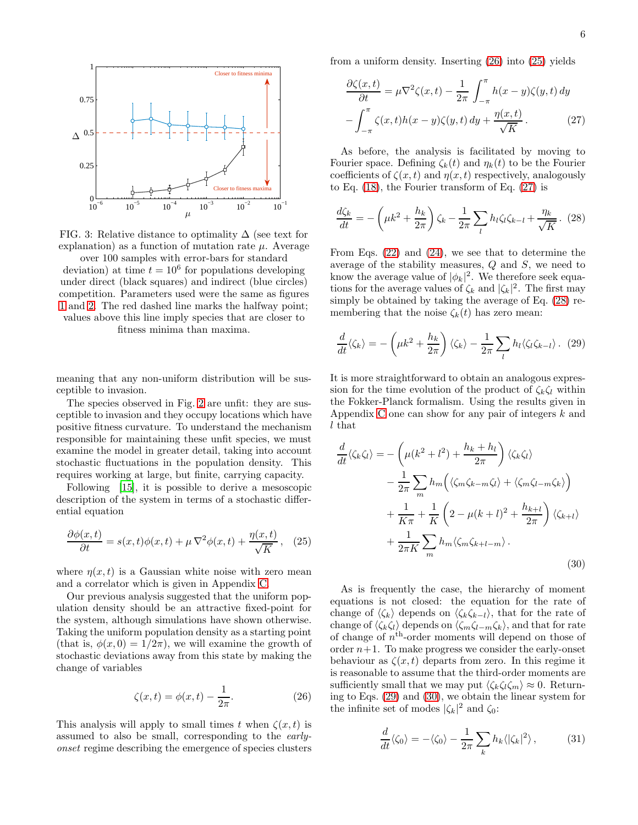<span id="page-5-0"></span>

FIG. 3: Relative distance to optimality  $\Delta$  (see text for explanation) as a function of mutation rate  $\mu$ . Average over 100 samples with error-bars for standard

deviation) at time  $t = 10^6$  for populations developing under direct (black squares) and indirect (blue circles) competition. Parameters used were the same as figures [1](#page-1-2) and [2.](#page-4-1) The red dashed line marks the halfway point; values above this line imply species that are closer to fitness minima than maxima.

meaning that any non-uniform distribution will be susceptible to invasion.

The species observed in Fig. [2](#page-4-1) are unfit: they are susceptible to invasion and they occupy locations which have positive fitness curvature. To understand the mechanism responsible for maintaining these unfit species, we must examine the model in greater detail, taking into account stochastic fluctuations in the population density. This requires working at large, but finite, carrying capacity.

Following [\[15\]](#page-9-7), it is possible to derive a mesoscopic description of the system in terms of a stochastic differential equation

<span id="page-5-2"></span>
$$
\frac{\partial \phi(x,t)}{\partial t} = s(x,t)\phi(x,t) + \mu \nabla^2 \phi(x,t) + \frac{\eta(x,t)}{\sqrt{K}}, \quad (25)
$$

where  $\eta(x, t)$  is a Gaussian white noise with zero mean and a correlator which is given in Appendix [C.](#page-8-2)

Our previous analysis suggested that the uniform population density should be an attractive fixed-point for the system, although simulations have shown otherwise. Taking the uniform population density as a starting point (that is,  $\phi(x, 0) = 1/2\pi$ ), we will examine the growth of stochastic deviations away from this state by making the change of variables

<span id="page-5-1"></span>
$$
\zeta(x,t) = \phi(x,t) - \frac{1}{2\pi}.\tag{26}
$$

This analysis will apply to small times t when  $\zeta(x, t)$  is assumed to also be small, corresponding to the earlyonset regime describing the emergence of species clusters

from a uniform density. Inserting [\(26\)](#page-5-1) into [\(25\)](#page-5-2) yields

<span id="page-5-3"></span>
$$
\frac{\partial \zeta(x,t)}{\partial t} = \mu \nabla^2 \zeta(x,t) - \frac{1}{2\pi} \int_{-\pi}^{\pi} h(x-y) \zeta(y,t) dy
$$

$$
- \int_{-\pi}^{\pi} \zeta(x,t) h(x-y) \zeta(y,t) dy + \frac{\eta(x,t)}{\sqrt{K}}.
$$
(27)

As before, the analysis is facilitated by moving to Fourier space. Defining  $\zeta_k(t)$  and  $\eta_k(t)$  to be the Fourier coefficients of  $\zeta(x,t)$  and  $\eta(x,t)$  respectively, analogously to Eq. [\(18\)](#page-3-6), the Fourier transform of Eq. [\(27\)](#page-5-3) is

<span id="page-5-4"></span>
$$
\frac{d\zeta_k}{dt} = -\left(\mu k^2 + \frac{h_k}{2\pi}\right)\zeta_k - \frac{1}{2\pi}\sum_l h_l \zeta_l \zeta_{k-l} + \frac{\eta_k}{\sqrt{K}}.\tag{28}
$$

From Eqs. [\(22\)](#page-4-0) and [\(24\)](#page-4-2), we see that to determine the average of the stability measures, Q and S, we need to know the average value of  $|\phi_k|^2$ . We therefore seek equations for the average values of  $\zeta_k$  and  $|\zeta_k|^2$ . The first may simply be obtained by taking the average of Eq. [\(28\)](#page-5-4) remembering that the noise  $\zeta_k(t)$  has zero mean:

<span id="page-5-5"></span>
$$
\frac{d}{dt}\langle \zeta_k \rangle = -\left(\mu k^2 + \frac{h_k}{2\pi}\right) \langle \zeta_k \rangle - \frac{1}{2\pi} \sum_l h_l \langle \zeta_l \zeta_{k-l} \rangle. (29)
$$

It is more straightforward to obtain an analogous expression for the time evolution of the product of  $\zeta_k \zeta_l$  within the Fokker-Planck formalism. Using the results given in Appendix [C](#page-8-2) one can show for any pair of integers k and l that

<span id="page-5-6"></span>
$$
\frac{d}{dt}\langle\zeta_k\zeta_l\rangle = -\left(\mu(k^2 + l^2) + \frac{h_k + h_l}{2\pi}\right)\langle\zeta_k\zeta_l\rangle \n- \frac{1}{2\pi} \sum_m h_m\left(\langle\zeta_m\zeta_{k-m}\zeta_l\rangle + \langle\zeta_m\zeta_{l-m}\zeta_k\rangle\right) \n+ \frac{1}{K\pi} + \frac{1}{K}\left(2 - \mu(k+l)^2 + \frac{h_{k+l}}{2\pi}\right)\langle\zeta_{k+l}\rangle \n+ \frac{1}{2\pi K} \sum_m h_m\langle\zeta_m\zeta_{k+l-m}\rangle.
$$
\n(30)

As is frequently the case, the hierarchy of moment equations is not closed: the equation for the rate of change of  $\langle \zeta_k \rangle$  depends on  $\langle \zeta_k \zeta_{k-l} \rangle$ , that for the rate of change of  $\langle \zeta_k \zeta_l \rangle$  depends on  $\langle \zeta_m \zeta_{l-m} \zeta_k \rangle$ , and that for rate of change of  $n<sup>th</sup>$ -order moments will depend on those of order  $n+1$ . To make progress we consider the early-onset behaviour as  $\zeta(x,t)$  departs from zero. In this regime it is reasonable to assume that the third-order moments are sufficiently small that we may put  $\langle \zeta_k \zeta_l \zeta_m \rangle \approx 0$ . Returning to Eqs. [\(29\)](#page-5-5) and [\(30\)](#page-5-6), we obtain the linear system for the infinite set of modes  $|\zeta_k|^2$  and  $\zeta_0$ :

<span id="page-5-7"></span>
$$
\frac{d}{dt}\langle\zeta_0\rangle = -\langle\zeta_0\rangle - \frac{1}{2\pi}\sum_k h_k \langle|\zeta_k|^2\rangle, \qquad (31)
$$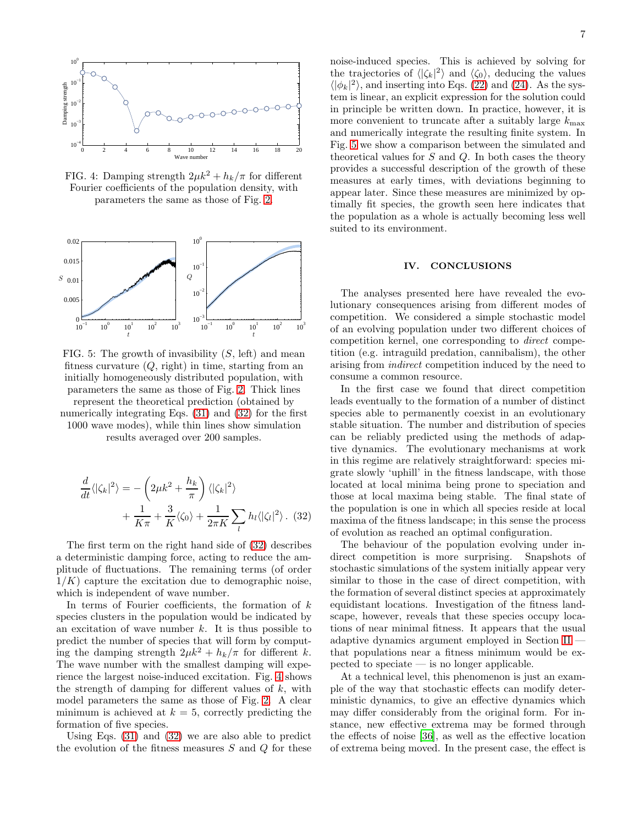<span id="page-6-1"></span>

FIG. 4: Damping strength  $2\mu k^2 + h_k/\pi$  for different Fourier coefficients of the population density, with parameters the same as those of Fig. [2.](#page-4-1)

<span id="page-6-2"></span>

FIG. 5: The growth of invasibility  $(S, \text{ left})$  and mean fitness curvature  $(Q, \text{right})$  in time, starting from an initially homogeneously distributed population, with parameters the same as those of Fig. [2.](#page-4-1) Thick lines represent the theoretical prediction (obtained by numerically integrating Eqs.  $(31)$  and  $(32)$  for the first 1000 wave modes), while thin lines show simulation

results averaged over 200 samples.

<span id="page-6-0"></span>
$$
\frac{d}{dt}\langle |\zeta_k|^2 \rangle = -\left(2\mu k^2 + \frac{h_k}{\pi}\right) \langle |\zeta_k|^2 \rangle \n+ \frac{1}{K\pi} + \frac{3}{K}\langle \zeta_0 \rangle + \frac{1}{2\pi K} \sum_l h_l \langle |\zeta_l|^2 \rangle. (32)
$$

The first term on the right hand side of [\(32\)](#page-6-0) describes a deterministic damping force, acting to reduce the amplitude of fluctuations. The remaining terms (of order  $1/K$ ) capture the excitation due to demographic noise, which is independent of wave number.

In terms of Fourier coefficients, the formation of  $k$ species clusters in the population would be indicated by an excitation of wave number  $k$ . It is thus possible to predict the number of species that will form by computing the damping strength  $2\mu k^2 + h_k/\pi$  for different k. The wave number with the smallest damping will experience the largest noise-induced excitation. Fig. [4](#page-6-1) shows the strength of damping for different values of  $k$ , with model parameters the same as those of Fig. [2.](#page-4-1) A clear minimum is achieved at  $k = 5$ , correctly predicting the formation of five species.

Using Eqs. [\(31\)](#page-5-7) and [\(32\)](#page-6-0) we are also able to predict the evolution of the fitness measures  $S$  and  $Q$  for these

noise-induced species. This is achieved by solving for the trajectories of  $\langle |\zeta_k|^2 \rangle$  and  $\langle \zeta_0 \rangle$ , deducing the values  $\langle |\phi_k|^2 \rangle$ , and inserting into Eqs. [\(22\)](#page-4-0) and [\(24\)](#page-4-2). As the system is linear, an explicit expression for the solution could in principle be written down. In practice, however, it is more convenient to truncate after a suitably large  $k_{\text{max}}$ and numerically integrate the resulting finite system. In Fig. [5](#page-6-2) we show a comparison between the simulated and theoretical values for  $S$  and  $Q$ . In both cases the theory provides a successful description of the growth of these measures at early times, with deviations beginning to appear later. Since these measures are minimized by optimally fit species, the growth seen here indicates that the population as a whole is actually becoming less well suited to its environment.

#### IV. CONCLUSIONS

The analyses presented here have revealed the evolutionary consequences arising from different modes of competition. We considered a simple stochastic model of an evolving population under two different choices of competition kernel, one corresponding to direct competition (e.g. intraguild predation, cannibalism), the other arising from indirect competition induced by the need to consume a common resource.

In the first case we found that direct competition leads eventually to the formation of a number of distinct species able to permanently coexist in an evolutionary stable situation. The number and distribution of species can be reliably predicted using the methods of adaptive dynamics. The evolutionary mechanisms at work in this regime are relatively straightforward: species migrate slowly 'uphill' in the fitness landscape, with those located at local minima being prone to speciation and those at local maxima being stable. The final state of the population is one in which all species reside at local maxima of the fitness landscape; in this sense the process of evolution as reached an optimal configuration.

The behaviour of the population evolving under indirect competition is more surprising. Snapshots of stochastic simulations of the system initially appear very similar to those in the case of direct competition, with the formation of several distinct species at approximately equidistant locations. Investigation of the fitness landscape, however, reveals that these species occupy locations of near minimal fitness. It appears that the usual adaptive dynamics argument employed in Section [II](#page-1-0) that populations near a fitness minimum would be expected to speciate — is no longer applicable.

At a technical level, this phenomenon is just an example of the way that stochastic effects can modify deterministic dynamics, to give an effective dynamics which may differ considerably from the original form. For instance, new effective extrema may be formed through the effects of noise [\[36](#page-10-9)], as well as the effective location of extrema being moved. In the present case, the effect is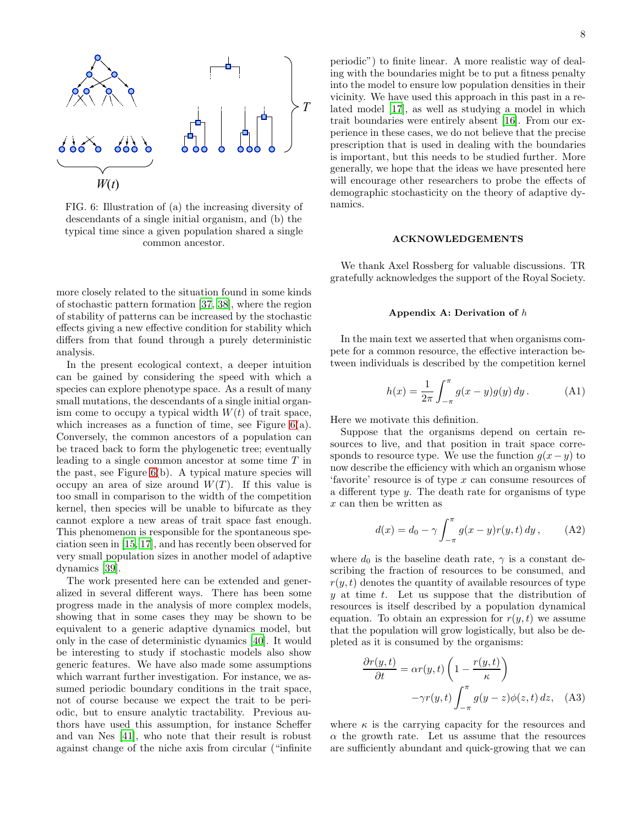<span id="page-7-1"></span>

FIG. 6: Illustration of (a) the increasing diversity of descendants of a single initial organism, and (b) the typical time since a given population shared a single common ancestor.

more closely related to the situation found in some kinds of stochastic pattern formation [\[37,](#page-10-10) [38\]](#page-10-11), where the region of stability of patterns can be increased by the stochastic effects giving a new effective condition for stability which differs from that found through a purely deterministic analysis.

In the present ecological context, a deeper intuition can be gained by considering the speed with which a species can explore phenotype space. As a result of many small mutations, the descendants of a single initial organism come to occupy a typical width  $W(t)$  of trait space, which increases as a function of time, see Figure  $6(a)$ . Conversely, the common ancestors of a population can be traced back to form the phylogenetic tree; eventually leading to a single common ancestor at some time T in the past, see Figure  $6(b)$ . A typical mature species will occupy an area of size around  $W(T)$ . If this value is too small in comparison to the width of the competition kernel, then species will be unable to bifurcate as they cannot explore a new areas of trait space fast enough. This phenomenon is responsible for the spontaneous speciation seen in [\[15,](#page-9-7) [17\]](#page-9-9), and has recently been observed for very small population sizes in another model of adaptive dynamics [\[39\]](#page-10-12).

The work presented here can be extended and generalized in several different ways. There has been some progress made in the analysis of more complex models, showing that in some cases they may be shown to be equivalent to a generic adaptive dynamics model, but only in the case of deterministic dynamics [\[40\]](#page-10-13). It would be interesting to study if stochastic models also show generic features. We have also made some assumptions which warrant further investigation. For instance, we assumed periodic boundary conditions in the trait space, not of course because we expect the trait to be periodic, but to ensure analytic tractability. Previous authors have used this assumption, for instance Scheffer and van Nes [\[41\]](#page-10-14), who note that their result is robust against change of the niche axis from circular ("infinite

periodic") to finite linear. A more realistic way of dealing with the boundaries might be to put a fitness penalty into the model to ensure low population densities in their vicinity. We have used this approach in this past in a related model [\[17](#page-9-9)], as well as studying a model in which trait boundaries were entirely absent [\[16\]](#page-9-8). From our experience in these cases, we do not believe that the precise

prescription that is used in dealing with the boundaries is important, but this needs to be studied further. More generally, we hope that the ideas we have presented here will encourage other researchers to probe the effects of demographic stochasticity on the theory of adaptive dynamics.

### ACKNOWLEDGEMENTS

We thank Axel Rossberg for valuable discussions. TR gratefully acknowledges the support of the Royal Society.

#### <span id="page-7-0"></span>Appendix A: Derivation of  $h$

In the main text we asserted that when organisms compete for a common resource, the effective interaction between individuals is described by the competition kernel

<span id="page-7-4"></span>
$$
h(x) = \frac{1}{2\pi} \int_{-\pi}^{\pi} g(x - y)g(y) \, dy. \tag{A1}
$$

Here we motivate this definition.

Suppose that the organisms depend on certain resources to live, and that position in trait space corresponds to resource type. We use the function  $q(x - y)$  to now describe the efficiency with which an organism whose 'favorite' resource is of type  $x$  can consume resources of a different type y. The death rate for organisms of type x can then be written as

<span id="page-7-3"></span>
$$
d(x) = d_0 - \gamma \int_{-\pi}^{\pi} g(x - y) r(y, t) \, dy, \tag{A2}
$$

where  $d_0$  is the baseline death rate,  $\gamma$  is a constant describing the fraction of resources to be consumed, and  $r(y, t)$  denotes the quantity of available resources of type  $y$  at time  $t$ . Let us suppose that the distribution of resources is itself described by a population dynamical equation. To obtain an expression for  $r(y, t)$  we assume that the population will grow logistically, but also be depleted as it is consumed by the organisms:

<span id="page-7-2"></span>
$$
\frac{\partial r(y,t)}{\partial t} = \alpha r(y,t) \left( 1 - \frac{r(y,t)}{\kappa} \right)
$$

$$
-\gamma r(y,t) \int_{-\pi}^{\pi} g(y-z) \phi(z,t) dz, \quad \text{(A3)}
$$

where  $\kappa$  is the carrying capacity for the resources and  $\alpha$  the growth rate. Let us assume that the resources are sufficiently abundant and quick-growing that we can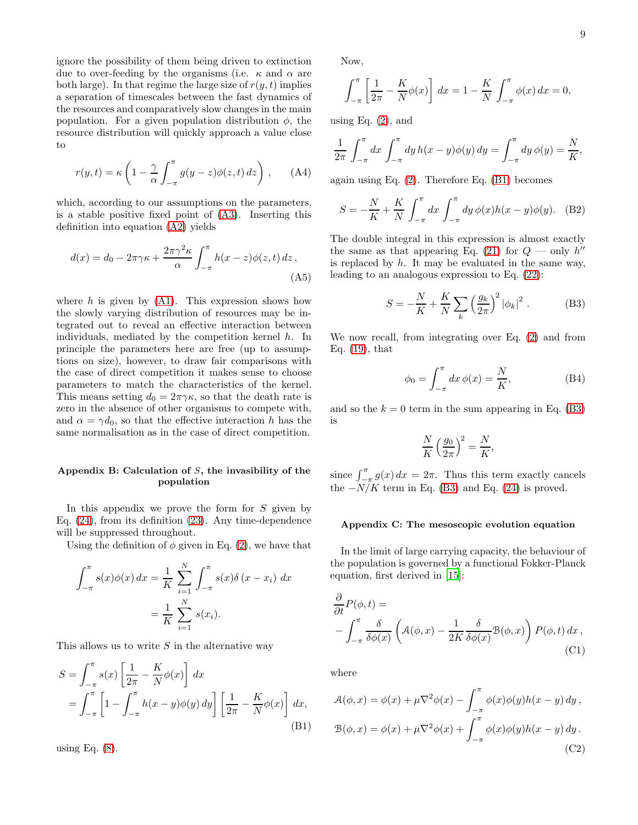9

ignore the possibility of them being driven to extinction due to over-feeding by the organisms (i.e.  $\kappa$  and  $\alpha$  are both large). In that regime the large size of  $r(y, t)$  implies a separation of timescales between the fast dynamics of the resources and comparatively slow changes in the main population. For a given population distribution  $\phi$ , the resource distribution will quickly approach a value close to

$$
r(y,t) = \kappa \left( 1 - \frac{\gamma}{\alpha} \int_{-\pi}^{\pi} g(y-z) \phi(z,t) dz \right), \quad (A4)
$$

which, according to our assumptions on the parameters, is a stable positive fixed point of [\(A3\)](#page-7-2). Inserting this definition into equation [\(A2\)](#page-7-3) yields

$$
d(x) = d_0 - 2\pi\gamma\kappa + \frac{2\pi\gamma^2\kappa}{\alpha} \int_{-\pi}^{\pi} h(x - z)\phi(z, t) dz,
$$
\n(A5)

where  $h$  is given by  $(A1)$ . This expression shows how the slowly varying distribution of resources may be integrated out to reveal an effective interaction between individuals, mediated by the competition kernel  $h$ . In principle the parameters here are free (up to assumptions on size), however, to draw fair comparisons with the case of direct competition it makes sense to choose parameters to match the characteristics of the kernel. This means setting  $d_0 = 2\pi\gamma\kappa$ , so that the death rate is zero in the absence of other organisms to compete with, and  $\alpha = \gamma d_0$ , so that the effective interaction h has the same normalisation as in the case of direct competition.

# <span id="page-8-1"></span>Appendix B: Calculation of  $S$ , the invasibility of the population

In this appendix we prove the form for  $S$  given by Eq. [\(24\)](#page-4-2), from its definition [\(23\)](#page-4-3). Any time-dependence will be suppressed throughout.

Using the definition of  $\phi$  given in Eq. [\(2\)](#page-1-4), we have that

$$
\int_{-\pi}^{\pi} s(x)\phi(x) dx = \frac{1}{K} \sum_{i=1}^{N} \int_{-\pi}^{\pi} s(x)\delta(x - x_i) dx
$$

$$
= \frac{1}{K} \sum_{i=1}^{N} s(x_i).
$$

This allows us to write  $S$  in the alternative way

<span id="page-8-3"></span>
$$
S = \int_{-\pi}^{\pi} s(x) \left[ \frac{1}{2\pi} - \frac{K}{N} \phi(x) \right] dx
$$
  
= 
$$
\int_{-\pi}^{\pi} \left[ 1 - \int_{-\pi}^{\pi} h(x - y) \phi(y) dy \right] \left[ \frac{1}{2\pi} - \frac{K}{N} \phi(x) \right] dx,
$$
  
(B1)

using Eq.  $(8)$ .

Now,

$$
\int_{-\pi}^{\pi} \left[ \frac{1}{2\pi} - \frac{K}{N} \phi(x) \right] dx = 1 - \frac{K}{N} \int_{-\pi}^{\pi} \phi(x) dx = 0,
$$

using Eq.  $(2)$ , and

$$
\frac{1}{2\pi} \int_{-\pi}^{\pi} dx \int_{-\pi}^{\pi} dy h(x - y) \phi(y) dy = \int_{-\pi}^{\pi} dy \phi(y) = \frac{N}{K},
$$

again using Eq. [\(2\)](#page-1-4). Therefore Eq. [\(B1\)](#page-8-3) becomes

$$
S = -\frac{N}{K} + \frac{K}{N} \int_{-\pi}^{\pi} dx \int_{-\pi}^{\pi} dy \, \phi(x) h(x - y) \phi(y). \quad (B2)
$$

The double integral in this expression is almost exactly the same as that appearing Eq. [\(21\)](#page-4-4) for  $Q$  — only  $h''$ is replaced by  $h$ . It may be evaluated in the same way, leading to an analogous expression to Eq. [\(22\)](#page-4-0):

<span id="page-8-4"></span>
$$
S = -\frac{N}{K} + \frac{K}{N} \sum_{k} \left(\frac{g_k}{2\pi}\right)^2 |\phi_k|^2.
$$
 (B3)

We now recall, from integrating over Eq. [\(2\)](#page-1-4) and from Eq. [\(19\)](#page-3-5), that

<span id="page-8-0"></span>
$$
\phi_0 = \int_{-\pi}^{\pi} dx \, \phi(x) = \frac{N}{K},\tag{B4}
$$

and so the  $k = 0$  term in the sum appearing in Eq. [\(B3\)](#page-8-4) is

$$
\frac{N}{K} \left(\frac{g_0}{2\pi}\right)^2 = \frac{N}{K},
$$

since  $\int_{-\pi}^{\pi} g(x) dx = 2\pi$ . Thus this term exactly cancels the  $-N/K$  term in Eq. [\(B3\)](#page-8-4) and Eq. [\(24\)](#page-4-2) is proved.

### <span id="page-8-2"></span>Appendix C: The mesoscopic evolution equation

In the limit of large carrying capacity, the behaviour of the population is governed by a functional Fokker-Planck equation, first derived in [\[15](#page-9-7)]:

<span id="page-8-5"></span>
$$
\frac{\partial}{\partial t}P(\phi, t) =
$$
\n
$$
-\int_{-\pi}^{\pi} \frac{\delta}{\delta \phi(x)} \left( \mathcal{A}(\phi, x) - \frac{1}{2K} \frac{\delta}{\delta \phi(x)} \mathcal{B}(\phi, x) \right) P(\phi, t) dx,
$$
\n(C1)

where

$$
\mathcal{A}(\phi, x) = \phi(x) + \mu \nabla^2 \phi(x) - \int_{-\pi}^{\pi} \phi(x)\phi(y)h(x - y) dy,
$$
  

$$
\mathcal{B}(\phi, x) = \phi(x) + \mu \nabla^2 \phi(x) + \int_{-\pi}^{\pi} \phi(x)\phi(y)h(x - y) dy.
$$
 (C2)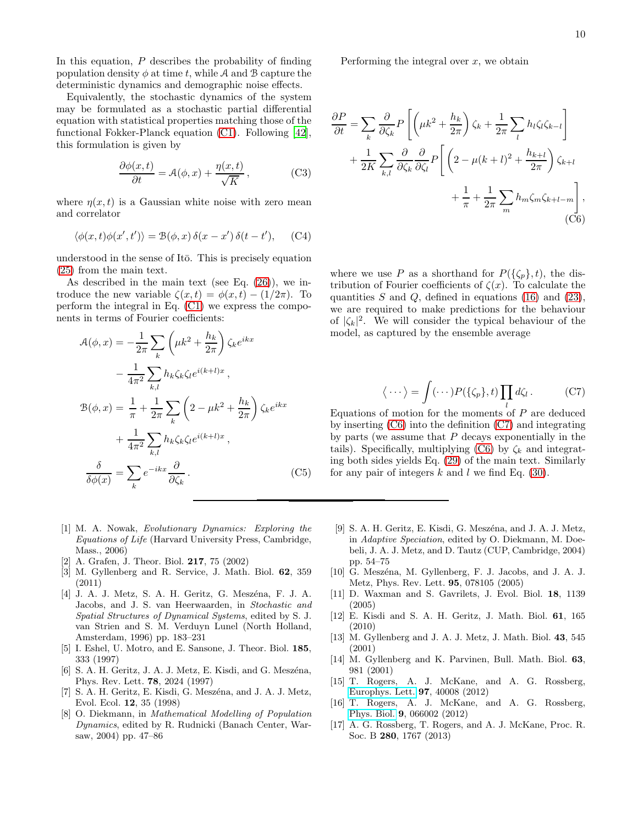10

In this equation,  $P$  describes the probability of finding population density  $\phi$  at time t, while A and B capture the deterministic dynamics and demographic noise effects.

Equivalently, the stochastic dynamics of the system may be formulated as a stochastic partial differential equation with statistical properties matching those of the functional Fokker-Planck equation [\(C1\)](#page-8-5). Following [\[42\]](#page-10-15), this formulation is given by

$$
\frac{\partial \phi(x,t)}{\partial t} = \mathcal{A}(\phi, x) + \frac{\eta(x,t)}{\sqrt{K}},
$$
 (C3)

where  $\eta(x, t)$  is a Gaussian white noise with zero mean and correlator

$$
\langle \phi(x,t)\phi(x',t')\rangle = \mathcal{B}(\phi,x)\,\delta(x-x')\,\delta(t-t'),\quad\text{(C4)}
$$

understood in the sense of Itō. This is precisely equation [\(25\)](#page-5-2) from the main text.

As described in the main text (see Eq. [\(26\)](#page-5-1)), we introduce the new variable  $\zeta(x,t) = \phi(x,t) - (1/2\pi)$ . To perform the integral in Eq. [\(C1\)](#page-8-5) we express the components in terms of Fourier coefficients:

$$
\mathcal{A}(\phi, x) = -\frac{1}{2\pi} \sum_{k} \left(\mu k^2 + \frac{h_k}{2\pi}\right) \zeta_k e^{ikx}
$$

$$
- \frac{1}{4\pi^2} \sum_{k,l} h_k \zeta_k \zeta_l e^{i(k+l)x},
$$

$$
\mathcal{B}(\phi, x) = \frac{1}{\pi} + \frac{1}{2\pi} \sum_{k} \left(2 - \mu k^2 + \frac{h_k}{2\pi}\right) \zeta_k e^{ikx}
$$

$$
+ \frac{1}{4\pi^2} \sum_{k,l} h_k \zeta_k \zeta_l e^{i(k+l)x},
$$

$$
\frac{\delta}{\delta \phi(x)} = \sum_{k} e^{-ikx} \frac{\partial}{\partial \zeta_k}.
$$
(C5)

- <span id="page-9-0"></span>[1] M. A. Nowak, Evolutionary Dynamics: Exploring the Equations of Life (Harvard University Press, Cambridge, Mass., 2006)
- <span id="page-9-1"></span>[2] A. Grafen, J. Theor. Biol. 217, 75 (2002)
- <span id="page-9-2"></span>[3] M. Gyllenberg and R. Service, J. Math. Biol. 62, 359 (2011)
- <span id="page-9-3"></span>[4] J. A. J. Metz, S. A. H. Geritz, G. Meszéna, F. J. A. Jacobs, and J. S. van Heerwaarden, in Stochastic and Spatial Structures of Dynamical Systems, edited by S. J. van Strien and S. M. Verduyn Lunel (North Holland, Amsterdam, 1996) pp. 183–231
- [5] I. Eshel, U. Motro, and E. Sansone, J. Theor. Biol. 185, 333 (1997)
- [6] S. A. H. Geritz, J. A. J. Metz, E. Kisdi, and G. Meszéna, Phys. Rev. Lett. 78, 2024 (1997)
- [7] S. A. H. Geritz, E. Kisdi, G. Meszéna, and J. A. J. Metz, Evol. Ecol. 12, 35 (1998)
- [8] O. Diekmann, in Mathematical Modelling of Population Dynamics, edited by R. Rudnicki (Banach Center, Warsaw, 2004) pp. 47–86

Performing the integral over  $x$ , we obtain

<span id="page-9-11"></span>
$$
\frac{\partial P}{\partial t} = \sum_{k} \frac{\partial}{\partial \zeta_{k}} P \left[ \left( \mu k^{2} + \frac{h_{k}}{2\pi} \right) \zeta_{k} + \frac{1}{2\pi} \sum_{l} h_{l} \zeta_{l} \zeta_{k-l} \right] + \frac{1}{2K} \sum_{k,l} \frac{\partial}{\partial \zeta_{k}} \frac{\partial}{\partial \zeta_{l}} P \left[ \left( 2 - \mu (k+l)^{2} + \frac{h_{k+l}}{2\pi} \right) \zeta_{k+l} + \frac{1}{\pi} + \frac{1}{2\pi} \sum_{m} h_{m} \zeta_{m} \zeta_{k+l-m} \right],
$$
\n(C6)

where we use P as a shorthand for  $P({\{\zeta_p\}, t})$ , the distribution of Fourier coefficients of  $\zeta(x)$ . To calculate the quantities  $S$  and  $Q$ , defined in equations [\(16\)](#page-3-7) and [\(23\)](#page-4-3), we are required to make predictions for the behaviour of  $|\zeta_k|^2$ . We will consider the typical behaviour of the model, as captured by the ensemble average

<span id="page-9-12"></span>
$$
\langle \cdots \rangle = \int (\cdots) P(\{\zeta_p\}, t) \prod_l d\zeta_l \,. \tag{C7}
$$

Equations of motion for the moments of  $P$  are deduced by inserting [\(C6\)](#page-9-11) into the definition [\(C7\)](#page-9-12) and integrating by parts (we assume that  $P$  decays exponentially in the tails). Specifically, multiplying [\(C6\)](#page-9-11) by  $\zeta_k$  and integrating both sides yields Eq. [\(29\)](#page-5-5) of the main text. Similarly for any pair of integers k and l we find Eq.  $(30)$ .

- [9] S. A. H. Geritz, E. Kisdi, G. Meszéna, and J. A. J. Metz, in Adaptive Speciation, edited by O. Diekmann, M. Doebeli, J. A. J. Metz, and D. Tautz (CUP, Cambridge, 2004) pp. 54–75
- <span id="page-9-10"></span>[10] G. Meszéna, M. Gyllenberg, F. J. Jacobs, and J. A. J. Metz, Phys. Rev. Lett. 95, 078105 (2005)
- [11] D. Waxman and S. Gavrilets, J. Evol. Biol. 18, 1139 (2005)
- <span id="page-9-4"></span>[12] E. Kisdi and S. A. H. Geritz, J. Math. Biol. 61, 165 (2010)
- <span id="page-9-5"></span>[13] M. Gyllenberg and J. A. J. Metz, J. Math. Biol. 43, 545 (2001)
- <span id="page-9-6"></span>[14] M. Gyllenberg and K. Parvinen, Bull. Math. Biol. 63, 981 (2001)
- <span id="page-9-7"></span>[15] T. Rogers, A. J. McKane, and A. G. Rossberg, [Europhys. Lett.](http://dx.doi.org/10.1143/JPSJ.77.044002) 97, 40008 (2012)
- <span id="page-9-8"></span>[16] T. Rogers, A. J. McKane, and A. G. Rossberg, [Phys. Biol.](http://dx.doi.org/10.1088/1478-3975/9/6/066002) 9, 066002 (2012)
- <span id="page-9-9"></span>[17] A. G. Rossberg, T. Rogers, and A. J. McKane, Proc. R. Soc. B 280, 1767 (2013)